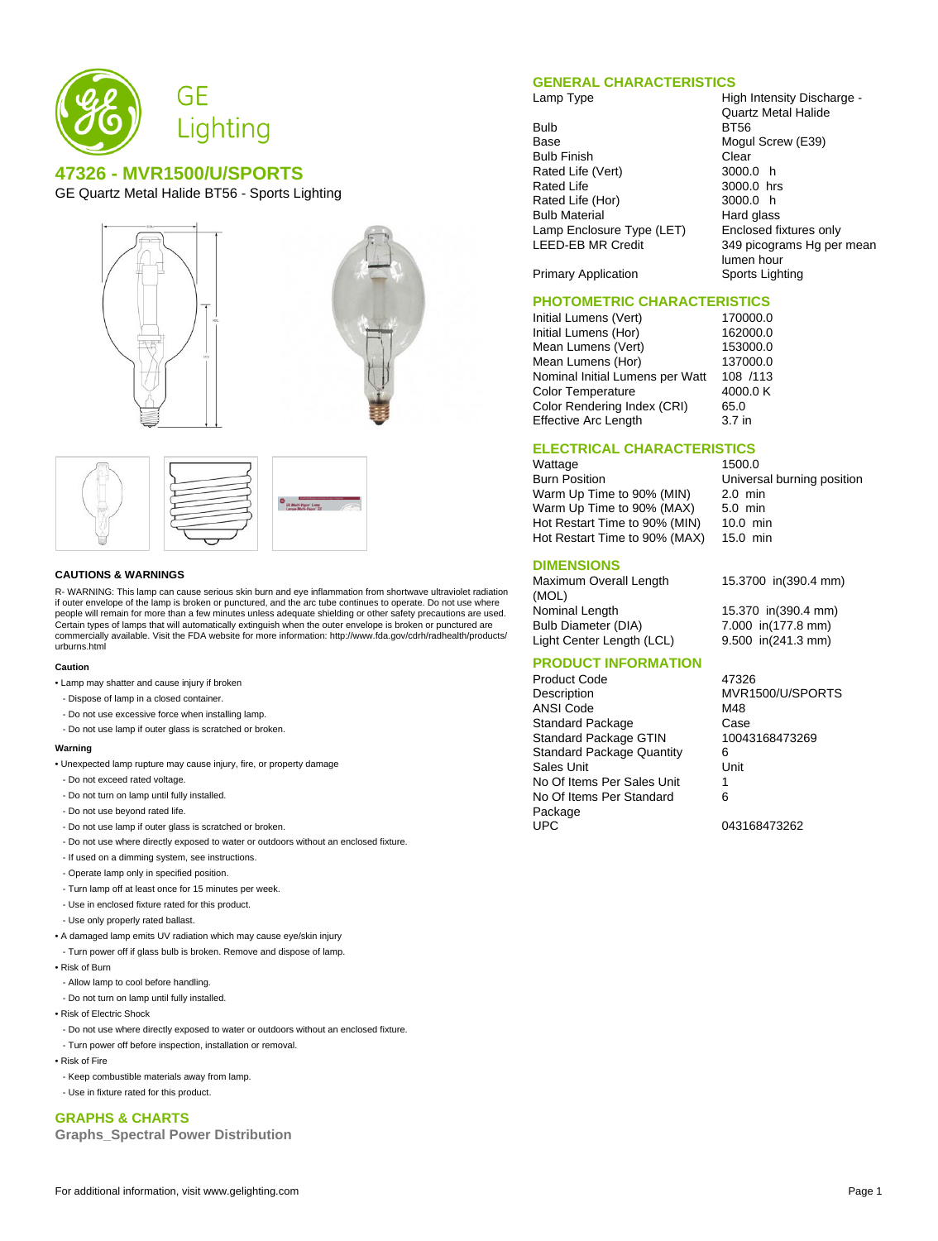

# **47326 - MVR1500/U/SPORTS**

GE Quartz Metal Halide BT56 - Sports Lighting









#### **CAUTIONS & WARNINGS**

R- WARNING: This lamp can cause serious skin burn and eye inflammation from shortwave ultraviolet radiation if outer envelope of the lamp is broken or punctured, and the arc tube continues to operate. Do not use where people will remain for more than a few minutes unless adequate shielding or other safety precautions are used. Certain types of lamps that will automatically extinguish when the outer envelope is broken or punctured are commercially available. Visit the FDA website for more information: http://www.fda.gov/cdrh/radhealth/products/ urburns.html

#### **Caution**

- Lamp may shatter and cause injury if broken
- Dispose of lamp in a closed container.
- Do not use excessive force when installing lamp.
- Do not use lamp if outer glass is scratched or broken.

#### **Warning**

- Unexpected lamp rupture may cause injury, fire, or property damage
- Do not exceed rated voltage.
- Do not turn on lamp until fully installed.
- Do not use beyond rated life.
- Do not use lamp if outer glass is scratched or broken.
- Do not use where directly exposed to water or outdoors without an enclosed fixture.
- If used on a dimming system, see instructions.
- Operate lamp only in specified position.
- Turn lamp off at least once for 15 minutes per week.
- Use in enclosed fixture rated for this product.
- Use only properly rated ballast.
- A damaged lamp emits UV radiation which may cause eye/skin injury
- Turn power off if glass bulb is broken. Remove and dispose of lamp.
- Risk of Burn
- Allow lamp to cool before handling.
- Do not turn on lamp until fully installed.
- Risk of Electric Shock
- Do not use where directly exposed to water or outdoors without an enclosed fixture.
- Turn power off before inspection, installation or removal.
- Risk of Fire
- Keep combustible materials away from lamp.
- Use in fixture rated for this product.

# **GRAPHS & CHARTS**

**Graphs\_Spectral Power Distribution**

### **GENERAL CHARACTERISTICS**

- Bulb BT56<br>Base Mogu Bulb Finish Clear<br>Rated Life (Vert) 3000.0 h Rated Life (Vert) Rated Life 3000.0 hrs Rated Life (Hor) 3000.0 h<br>Bulb Material 600 Hard glass **Bulb Material** Lamp Enclosure Type (LET) Enclosed fixtures only<br>LEED-EB MR Credit 349 picograms Hg per
- Lamp Type **High Intensity Discharge -**Quartz Metal Halide Mogul Screw (E39) 349 picograms Hg per mean lumen hour Primary Application Sports Lighting

# **PHOTOMETRIC CHARACTERISTICS**<br>Initial Lumens (Vert) 170000.0

Initial Lumens (Vert) 170000.0<br>
Initial Lumens (Hor) 162000.0 Initial Lumens (Hor) 162000.0<br>Mean Lumens (Vert) 153000.0 Mean Lumens (Vert) 153000.0<br>Mean Lumens (Hor) 137000.0 Mean Lumens (Hor) Nominal Initial Lumens per Watt 108 /113 Color Temperature 4000.0 K Color Rendering Index (CRI) 65.0 Effective Arc Length 3.7 in

## **ELECTRICAL CHARACTERISTICS**

Wattage 1500.0 Burn Position **Universal burning position**<br>Warm Up Time to 90% (MIN) 2.0 min Warm Up Time to 90% (MIN) Warm Up Time to 90% (MAX) 5.0 min Hot Restart Time to 90% (MIN) 10.0 min Hot Restart Time to 90% (MAX) 15.0 min

## **DIMENSIONS**

Maximum Overall Length (MOL) Nominal Length 15.370 in(390.4 mm) Bulb Diameter (DIA) 7.000 in(177.8 mm)

15.3700 in(390.4 mm)

Light Center Length (LCL) 9.500 in(241.3 mm)

# **PRODUCT INFORMATION**

Product Code 47326 Description MVR1500/U/SPORTS ANSI Code M48 Standard Package Case<br>
Standard Package GTIN 10043168473269 Standard Package GTIN Standard Package Quantity 6 Sales Unit **Unit** Unit No Of Items Per Sales Unit 1 No Of Items Per Standard Package UPC 043168473262

6